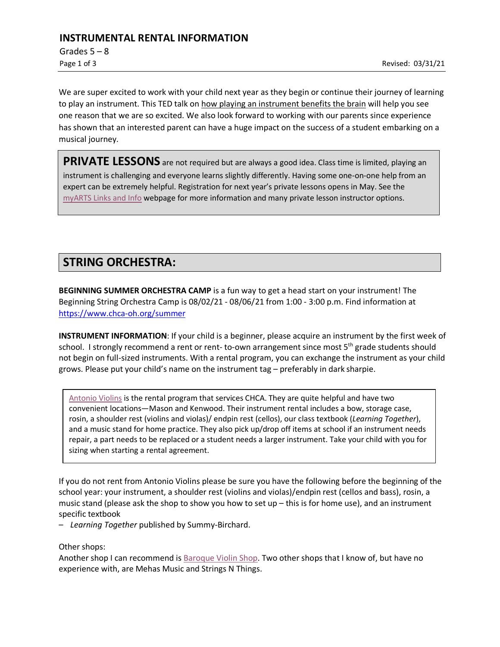### **INSTRUMENTAL RENTAL INFORMATION**

Grades  $5 - 8$ 

We are super excited to work with your child next year as they begin or continue their journey of learning to play an instrument. This TED talk on [how playing an instrument benefits the brain](https://www.youtube.com/watch?v=R0JKCYZ8hng) will help you see one reason that we are so excited. We also look forward to working with our parents since experience has shown that an interested parent can have a huge impact on the success of a student embarking on a musical journey.

PRIVATE LESSONS are not required but are always a good idea. Class time is limited, playing an instrument is challenging and everyone learns slightly differently. Having some one-on-one help from an expert can be extremely helpful. Registration for next year's private lessons opens in May. See the [myARTS Links and Info](https://www.chca-oh.org/my-all-school/arts-links-info) webpage for more information and many private lesson instructor options.

## **STRING ORCHESTRA:**

**BEGINNING SUMMER ORCHESTRA CAMP** is a fun way to get a head start on your instrument! The Beginning String Orchestra Camp is 08/02/21 - 08/06/21 from 1:00 - 3:00 p.m. Find information at [https://www.chca-oh.org/summer](https://www.chca-oh.org/summer#fs-panel-25708)

**INSTRUMENT INFORMATION**: If your child is a beginner, please acquire an instrument by the first week of school. I strongly recommend a rent or rent- to-own arrangement since most  $5<sup>th</sup>$  grade students should not begin on full-sized instruments. With a rental program, you can exchange the instrument as your child grows. Please put your child's name on the instrument tag – preferably in dark sharpie.

[Antonio Violins](http://www.antonioviolin.com/) is the rental program that services CHCA. They are quite helpful and have two convenient locations—Mason and Kenwood. Their instrument rental includes a bow, storage case, rosin, a shoulder rest (violins and violas)/ endpin rest (cellos), our class textbook (*Learning Together*), and a music stand for home practice. They also pick up/drop off items at school if an instrument needs repair, a part needs to be replaced or a student needs a larger instrument. Take your child with you for sizing when starting a rental agreement.

If you do not rent from Antonio Violins please be sure you have the following before the beginning of the school year: your instrument, a shoulder rest (violins and violas)/endpin rest (cellos and bass), rosin, a music stand (please ask the shop to show you how to set up – this is for home use), and an instrument specific textbook

– *Learning Together* published by Summy-Birchard.

Other shops:

Another shop I can recommend is [Baroque Violin Shop. T](http://www.baroqueviolinshop.com/)wo other shops that I know of, but have no experience with, are Mehas Music and Strings N Things.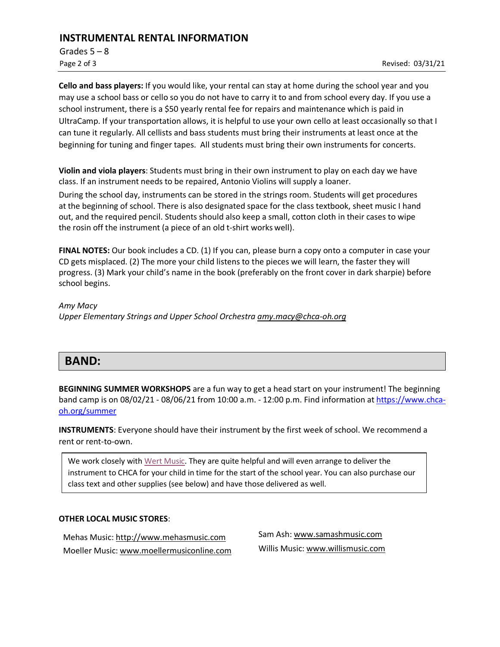## **INSTRUMENTAL RENTAL INFORMATION**

Grades  $5 - 8$ 

**Cello and bass players:** If you would like, your rental can stay at home during the school year and you may use a school bass or cello so you do not have to carry it to and from school every day. If you use a school instrument, there is a \$50 yearly rental fee for repairs and maintenance which is paid in UltraCamp. If your transportation allows, it is helpful to use your own cello at least occasionally so that I can tune it regularly. All cellists and bass students must bring their instruments at least once at the beginning for tuning and finger tapes. All students must bring their own instruments for concerts.

**Violin and viola players**: Students must bring in their own instrument to play on each day we have class. If an instrument needs to be repaired, Antonio Violins will supply a loaner.

During the school day, instruments can be stored in the strings room. Students will get procedures at the beginning of school. There is also designated space for the class textbook, sheet music I hand out, and the required pencil. Students should also keep a small, cotton cloth in their cases to wipe the rosin off the instrument (a piece of an old t-shirt works well).

**FINAL NOTES:** Our book includes a CD. (1) If you can, please burn a copy onto a computer in case your CD gets misplaced. (2) The more your child listens to the pieces we will learn, the faster they will progress. (3) Mark your child's name in the book (preferably on the front cover in dark sharpie) before school begins.

*Amy Macy Upper Elementary Strings and Upper School Orchestra [amy.macy@chca-oh.org](mailto:amy.macy@chca-oh.org)*

# **BAND:**

**BEGINNING SUMMER WORKSHOPS** are a fun way to get a head start on your instrument! The beginning band camp is on 08/02/21 - 08/06/21 from 10:00 a.m. - 12:00 p.m. Find information at [https://www.chca](https://www.chca-oh.org/summer#fs-panel-25708)[oh.org/summer](https://www.chca-oh.org/summer#fs-panel-25708)

**INSTRUMENTS**: Everyone should have their instrument by the first week of school. We recommend a rent or rent-to-own.

We work closely wit[h Wert Music.](https://www.wertmusic.com/pages/rentals) They are quite helpful and will even arrange to deliver the instrument to CHCA for your child in time for the start of the school year. You can also purchase our class text and other supplies (see below) and have those delivered as well.

#### **OTHER LOCAL MUSIC STORES**:

Mehas Music: [http://www.mehasmusic.com](http://www.mehasmusic.com/) Moeller Music: [www.moellermusiconline.com](http://www.moellermusiconline.com/) Sam Ash: [www.samashmusic.com](http://www.samashmusic.com/) Willis Music: www.willismusic.com